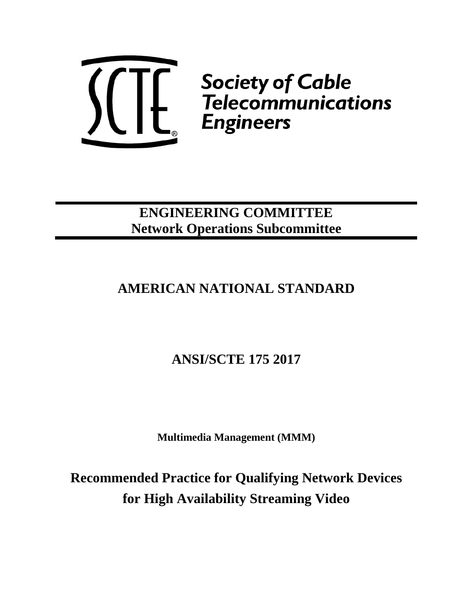

*Society of Cable*<br>
Lette Gelecommunications<br>
Engineers

# **ENGINEERING COMMITTEE Network Operations Subcommittee**

# **AMERICAN NATIONAL STANDARD**

# **ANSI/SCTE 175 2017**

**Multimedia Management (MMM)**

**Recommended Practice for Qualifying Network Devices for High Availability Streaming Video**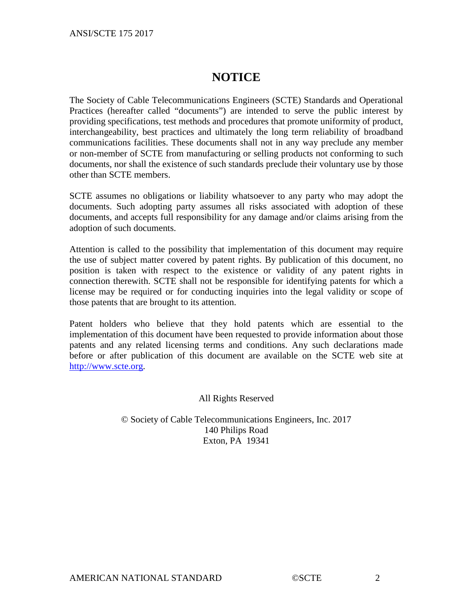# **NOTICE**

The Society of Cable Telecommunications Engineers (SCTE) Standards and Operational Practices (hereafter called "documents") are intended to serve the public interest by providing specifications, test methods and procedures that promote uniformity of product, interchangeability, best practices and ultimately the long term reliability of broadband communications facilities. These documents shall not in any way preclude any member or non-member of SCTE from manufacturing or selling products not conforming to such documents, nor shall the existence of such standards preclude their voluntary use by those other than SCTE members.

SCTE assumes no obligations or liability whatsoever to any party who may adopt the documents. Such adopting party assumes all risks associated with adoption of these documents, and accepts full responsibility for any damage and/or claims arising from the adoption of such documents.

Attention is called to the possibility that implementation of this document may require the use of subject matter covered by patent rights. By publication of this document, no position is taken with respect to the existence or validity of any patent rights in connection therewith. SCTE shall not be responsible for identifying patents for which a license may be required or for conducting inquiries into the legal validity or scope of those patents that are brought to its attention.

Patent holders who believe that they hold patents which are essential to the implementation of this document have been requested to provide information about those patents and any related licensing terms and conditions. Any such declarations made before or after publication of this document are available on the SCTE web site at [http://www.scte.org.](http://www.scte.org/)

All Rights Reserved

© Society of Cable Telecommunications Engineers, Inc. 2017 140 Philips Road Exton, PA 19341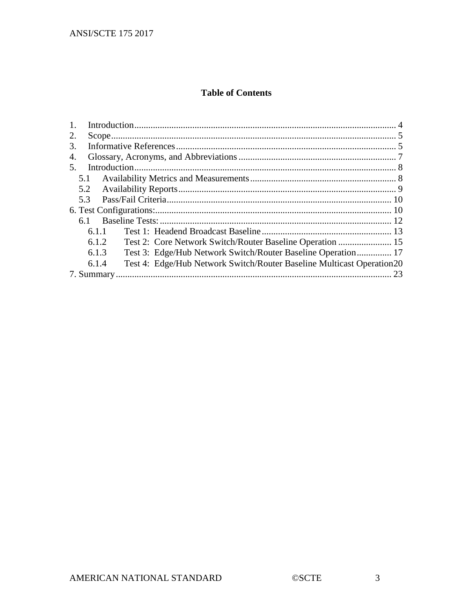### **Table of Contents**

| 2.  |       |                                                                       |  |  |  |  |  |
|-----|-------|-----------------------------------------------------------------------|--|--|--|--|--|
| 3.  |       |                                                                       |  |  |  |  |  |
| 4.  |       |                                                                       |  |  |  |  |  |
| .5. |       |                                                                       |  |  |  |  |  |
|     | 5.1   |                                                                       |  |  |  |  |  |
|     | 5.2   |                                                                       |  |  |  |  |  |
| 5.3 |       |                                                                       |  |  |  |  |  |
|     |       |                                                                       |  |  |  |  |  |
|     | 6.1   |                                                                       |  |  |  |  |  |
|     | 6.1.1 |                                                                       |  |  |  |  |  |
|     | 6.1.2 | Test 2: Core Network Switch/Router Baseline Operation  15             |  |  |  |  |  |
|     | 6.1.3 | Test 3: Edge/Hub Network Switch/Router Baseline Operation 17          |  |  |  |  |  |
|     | 6.1.4 | Test 4: Edge/Hub Network Switch/Router Baseline Multicast Operation20 |  |  |  |  |  |
|     | . 23  |                                                                       |  |  |  |  |  |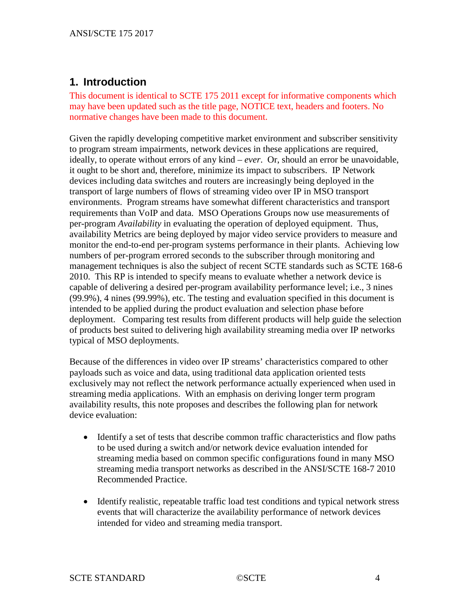## <span id="page-3-0"></span>**1. Introduction**

This document is identical to SCTE 175 2011 except for informative components which may have been updated such as the title page, NOTICE text, headers and footers. No normative changes have been made to this document.

Given the rapidly developing competitive market environment and subscriber sensitivity to program stream impairments, network devices in these applications are required, ideally, to operate without errors of any kind – *ever*. Or, should an error be unavoidable, it ought to be short and, therefore, minimize its impact to subscribers. IP Network devices including data switches and routers are increasingly being deployed in the transport of large numbers of flows of streaming video over IP in MSO transport environments. Program streams have somewhat different characteristics and transport requirements than VoIP and data. MSO Operations Groups now use measurements of per-program *Availability* in evaluating the operation of deployed equipment. Thus, availability Metrics are being deployed by major video service providers to measure and monitor the end-to-end per-program systems performance in their plants. Achieving low numbers of per-program errored seconds to the subscriber through monitoring and management techniques is also the subject of recent SCTE standards such as SCTE 168-6 2010. This RP is intended to specify means to evaluate whether a network device is capable of delivering a desired per-program availability performance level; i.e., 3 nines (99.9%), 4 nines (99.99%), etc. The testing and evaluation specified in this document is intended to be applied during the product evaluation and selection phase before deployment. Comparing test results from different products will help guide the selection of products best suited to delivering high availability streaming media over IP networks typical of MSO deployments.

Because of the differences in video over IP streams' characteristics compared to other payloads such as voice and data, using traditional data application oriented tests exclusively may not reflect the network performance actually experienced when used in streaming media applications. With an emphasis on deriving longer term program availability results, this note proposes and describes the following plan for network device evaluation:

- Identify a set of tests that describe common traffic characteristics and flow paths to be used during a switch and/or network device evaluation intended for streaming media based on common specific configurations found in many MSO streaming media transport networks as described in the ANSI/SCTE 168-7 2010 Recommended Practice.
- Identify realistic, repeatable traffic load test conditions and typical network stress events that will characterize the availability performance of network devices intended for video and streaming media transport.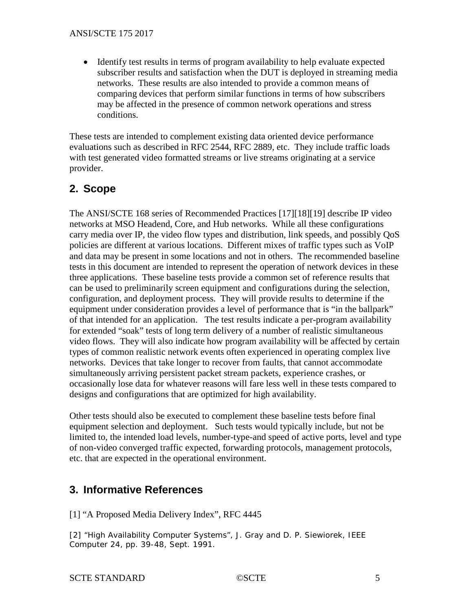• Identify test results in terms of program availability to help evaluate expected subscriber results and satisfaction when the DUT is deployed in streaming media networks. These results are also intended to provide a common means of comparing devices that perform similar functions in terms of how subscribers may be affected in the presence of common network operations and stress conditions.

These tests are intended to complement existing data oriented device performance evaluations such as described in RFC 2544, RFC 2889, etc. They include traffic loads with test generated video formatted streams or live streams originating at a service provider.

# <span id="page-4-0"></span>**2. Scope**

The ANSI/SCTE 168 series of Recommended Practices [17][18][19] describe IP video networks at MSO Headend, Core, and Hub networks. While all these configurations carry media over IP, the video flow types and distribution, link speeds, and possibly QoS policies are different at various locations. Different mixes of traffic types such as VoIP and data may be present in some locations and not in others. The recommended baseline tests in this document are intended to represent the operation of network devices in these three applications. These baseline tests provide a common set of reference results that can be used to preliminarily screen equipment and configurations during the selection, configuration, and deployment process. They will provide results to determine if the equipment under consideration provides a level of performance that is "in the ballpark" of that intended for an application. The test results indicate a per-program availability for extended "soak" tests of long term delivery of a number of realistic simultaneous video flows. They will also indicate how program availability will be affected by certain types of common realistic network events often experienced in operating complex live networks. Devices that take longer to recover from faults, that cannot accommodate simultaneously arriving persistent packet stream packets, experience crashes, or occasionally lose data for whatever reasons will fare less well in these tests compared to designs and configurations that are optimized for high availability.

Other tests should also be executed to complement these baseline tests before final equipment selection and deployment. Such tests would typically include, but not be limited to, the intended load levels, number-type-and speed of active ports, level and type of non-video converged traffic expected, forwarding protocols, management protocols, etc. that are expected in the operational environment.

# <span id="page-4-1"></span>**3. Informative References**

[1] "A Proposed Media Delivery Index", RFC 4445

[2] "High Availability Computer Systems", J. Gray and D. P. Siewiorek, IEEE Computer 24, pp. 39-48, Sept. 1991.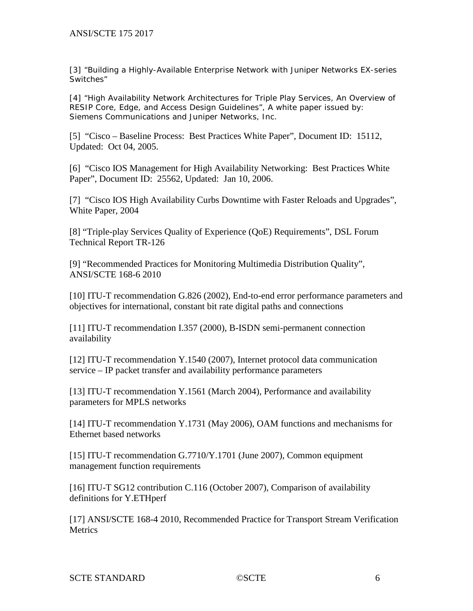[3] "Building a Highly-Available Enterprise Network with Juniper Networks EX-series Switches"

[4] "High Availability Network Architectures for Triple Play Services, An Overview of RESIP Core, Edge, and Access Design Guidelines", A white paper issued by: Siemens Communications and Juniper Networks, Inc.

[5] "Cisco – Baseline Process: Best Practices White Paper", Document ID: 15112, Updated: Oct 04, 2005.

[6] "Cisco IOS Management for High Availability Networking: Best Practices White Paper", Document ID: 25562, Updated: Jan 10, 2006.

[7] "Cisco IOS High Availability Curbs Downtime with Faster Reloads and Upgrades", White Paper, 2004

[8] "Triple-play Services Quality of Experience (QoE) Requirements", DSL Forum Technical Report TR-126

[9] "Recommended Practices for Monitoring Multimedia Distribution Quality", ANSI/SCTE 168-6 2010

[10] ITU-T recommendation G.826 (2002), End-to-end error performance parameters and objectives for international, constant bit rate digital paths and connections

[11] ITU-T recommendation I.357 (2000), B-ISDN semi-permanent connection availability

[12] ITU-T recommendation Y.1540 (2007), Internet protocol data communication service – IP packet transfer and availability performance parameters

[13] ITU-T recommendation Y.1561 (March 2004), Performance and availability parameters for MPLS networks

[14] ITU-T recommendation Y.1731 (May 2006), OAM functions and mechanisms for Ethernet based networks

[15] ITU-T recommendation G.7710/Y.1701 (June 2007), Common equipment management function requirements

[16] ITU-T SG12 contribution C.116 (October 2007), Comparison of availability definitions for Y.ETHperf

[17] ANSI/SCTE 168-4 2010, Recommended Practice for Transport Stream Verification **Metrics**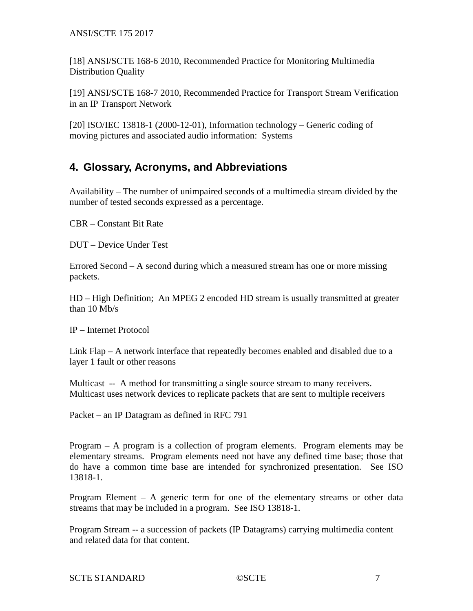ANSI/SCTE 175 2017

[18] ANSI/SCTE 168-6 2010, Recommended Practice for Monitoring Multimedia Distribution Quality

[19] ANSI/SCTE 168-7 2010, Recommended Practice for Transport Stream Verification in an IP Transport Network

[20] ISO/IEC 13818-1 (2000-12-01), Information technology – Generic coding of moving pictures and associated audio information: Systems

## <span id="page-6-0"></span>**4. Glossary, Acronyms, and Abbreviations**

Availability – The number of unimpaired seconds of a multimedia stream divided by the number of tested seconds expressed as a percentage.

CBR – Constant Bit Rate

DUT – Device Under Test

Errored Second – A second during which a measured stream has one or more missing packets.

HD – High Definition; An MPEG 2 encoded HD stream is usually transmitted at greater than 10 Mb/s

IP – Internet Protocol

Link Flap – A network interface that repeatedly becomes enabled and disabled due to a layer 1 fault or other reasons

Multicast -- A method for transmitting a single source stream to many receivers. Multicast uses network devices to replicate packets that are sent to multiple receivers

Packet – an IP Datagram as defined in RFC 791

Program – A program is a collection of program elements. Program elements may be elementary streams. Program elements need not have any defined time base; those that do have a common time base are intended for synchronized presentation. See ISO 13818-1.

Program Element – A generic term for one of the elementary streams or other data streams that may be included in a program. See ISO 13818-1.

Program Stream -- a succession of packets (IP Datagrams) carrying multimedia content and related data for that content.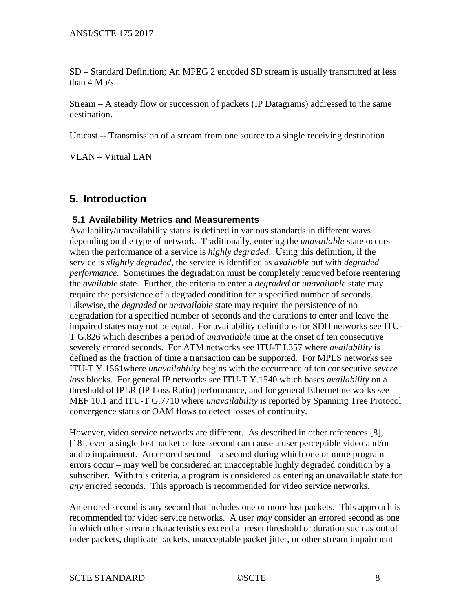SD – Standard Definition; An MPEG 2 encoded SD stream is usually transmitted at less than 4 Mb/s

Stream – A steady flow or succession of packets (IP Datagrams) addressed to the same destination.

Unicast -- Transmission of a stream from one source to a single receiving destination

VLAN – Virtual LAN

### <span id="page-7-0"></span>**5. Introduction**

#### <span id="page-7-1"></span>**5.1 Availability Metrics and Measurements**

Availability/unavailability status is defined in various standards in different ways depending on the type of network. Traditionally, entering the *unavailable* state occurs when the performance of a service is *highly degraded*. Using this definition, if the service is *slightly degraded*, the service is identified as *available* but with *degraded performance*. Sometimes the degradation must be completely removed before reentering the *available* state. Further, the criteria to enter a *degraded* or *unavailable* state may require the persistence of a degraded condition for a specified number of seconds. Likewise, the *degraded* or *unavailable* state may require the persistence of no degradation for a specified number of seconds and the durations to enter and leave the impaired states may not be equal. For availability definitions for SDH networks see ITU-T G.826 which describes a period of *unavailable* time at the onset of ten consecutive severely errored seconds. For ATM networks see ITU-T I.357 where *availability* is defined as the fraction of time a transaction can be supported. For MPLS networks see ITU-T Y.1561where *unavailability* begins with the occurrence of ten consecutive *severe loss* blocks. For general IP networks see ITU-T Y.1540 which bases *availability* on a threshold of IPLR (IP Loss Ratio) performance, and for general Ethernet networks see MEF 10.1 and ITU-T G.7710 where *unavailability* is reported by Spanning Tree Protocol convergence status or OAM flows to detect losses of continuity.

However, video service networks are different. As described in other references [8], [18], even a single lost packet or loss second can cause a user perceptible video and/or audio impairment. An errored second – a second during which one or more program errors occur – may well be considered an unacceptable highly degraded condition by a subscriber. With this criteria, a program is considered as entering an unavailable state for *any* errored seconds. This approach is recommended for video service networks.

An errored second is any second that includes one or more lost packets. This approach is recommended for video service networks. A user *may* consider an errored second as one in which other stream characteristics exceed a preset threshold or duration such as out of order packets, duplicate packets, unacceptable packet jitter, or other stream impairment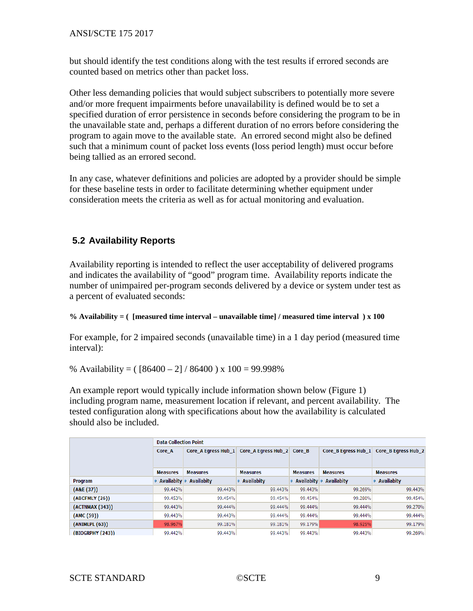ANSI/SCTE 175 2017

but should identify the test conditions along with the test results if errored seconds are counted based on metrics other than packet loss.

Other less demanding policies that would subject subscribers to potentially more severe and/or more frequent impairments before unavailability is defined would be to set a specified duration of error persistence in seconds before considering the program to be in the unavailable state and, perhaps a different duration of no errors before considering the program to again move to the available state. An errored second might also be defined such that a minimum count of packet loss events (loss period length) must occur before being tallied as an errored second.

In any case, whatever definitions and policies are adopted by a provider should be simple for these baseline tests in order to facilitate determining whether equipment under consideration meets the criteria as well as for actual monitoring and evaluation.

### <span id="page-8-0"></span>**5.2 Availability Reports**

Availability reporting is intended to reflect the user acceptability of delivered programs and indicates the availability of "good" program time. Availability reports indicate the number of unimpaired per-program seconds delivered by a device or system under test as a percent of evaluated seconds:

#### **% Availability = ( [measured time interval – unavailable time] / measured time interval ) x 100**

For example, for 2 impaired seconds (unavailable time) in a 1 day period (measured time interval):

% Availability =  $([86400 - 2] / 86400)$  x  $100 = 99.998\%$ 

An example report would typically include information shown below (Figure 1) including program name, measurement location if relevant, and percent availability. The tested configuration along with specifications about how the availability is calculated should also be included.

|                  | <b>Data Collection Point</b> |                     |                     |                   |                     |                     |  |
|------------------|------------------------------|---------------------|---------------------|-------------------|---------------------|---------------------|--|
|                  | Core A                       | Core A Egress Hub 1 | Core_A Egress Hub_2 | Core B            | Core B Egress Hub 1 | Core_B Egress Hub_2 |  |
|                  |                              |                     |                     |                   |                     |                     |  |
|                  | <b>Measures</b>              | <b>Measures</b>     | <b>Measures</b>     | <b>Measures</b>   | <b>Measures</b>     | <b>Measures</b>     |  |
| Program          | Availabity                   | <b>Availabity</b>   | <b>Availabity</b>   | <b>Availabity</b> | • Availabity        | <b>Availabity</b>   |  |
| (A&E(37))        | 99.442%                      | 99.443%             | 99.443%             | 99.443%           | 99.269%             | 99.443%             |  |
| (ABCFMLY (26))   | 99.453%                      | 99.454%             | 99.454%             | 99.454%           | 99.280%             | 99.454%             |  |
| (ACTNMAX (343))  | 99.443%                      | 99.444%             | 99.444%             | 99.444%           | 99.444%             | 99.270%             |  |
| (AMC (59))       | 99.443%                      | 99.443%             | 99.444%             | 99.444%           | 99.444%             | 99.444%             |  |
| (ANIMLPL(63))    | 98.967%                      | 99.181%             | 99.181%             | 99.179%           | 98.925%             | 99,179%             |  |
| (BIOGRPHY (243)) | 99.442%                      | 99.443%             | 99.443%             | 99.443%           | 99.443%             | 99.269%             |  |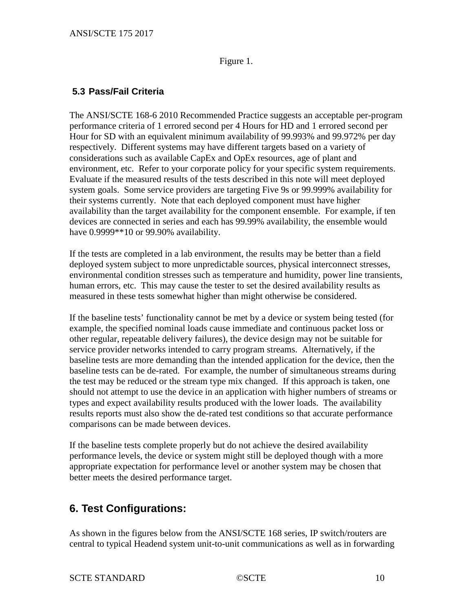#### Figure 1.

### <span id="page-9-0"></span>**5.3 Pass/Fail Criteria**

The ANSI/SCTE 168-6 2010 Recommended Practice suggests an acceptable per-program performance criteria of 1 errored second per 4 Hours for HD and 1 errored second per Hour for SD with an equivalent minimum availability of 99.993% and 99.972% per day respectively. Different systems may have different targets based on a variety of considerations such as available CapEx and OpEx resources, age of plant and environment, etc. Refer to your corporate policy for your specific system requirements. Evaluate if the measured results of the tests described in this note will meet deployed system goals. Some service providers are targeting Five 9s or 99.999% availability for their systems currently. Note that each deployed component must have higher availability than the target availability for the component ensemble. For example, if ten devices are connected in series and each has 99.99% availability, the ensemble would have 0.9999\*\*10 or 99.90% availability.

If the tests are completed in a lab environment, the results may be better than a field deployed system subject to more unpredictable sources, physical interconnect stresses, environmental condition stresses such as temperature and humidity, power line transients, human errors, etc. This may cause the tester to set the desired availability results as measured in these tests somewhat higher than might otherwise be considered.

If the baseline tests' functionality cannot be met by a device or system being tested (for example, the specified nominal loads cause immediate and continuous packet loss or other regular, repeatable delivery failures), the device design may not be suitable for service provider networks intended to carry program streams. Alternatively, if the baseline tests are more demanding than the intended application for the device, then the baseline tests can be de-rated. For example, the number of simultaneous streams during the test may be reduced or the stream type mix changed. If this approach is taken, one should not attempt to use the device in an application with higher numbers of streams or types and expect availability results produced with the lower loads. The availability results reports must also show the de-rated test conditions so that accurate performance comparisons can be made between devices.

If the baseline tests complete properly but do not achieve the desired availability performance levels, the device or system might still be deployed though with a more appropriate expectation for performance level or another system may be chosen that better meets the desired performance target.

# <span id="page-9-1"></span>**6. Test Configurations:**

As shown in the figures below from the ANSI/SCTE 168 series, IP switch/routers are central to typical Headend system unit-to-unit communications as well as in forwarding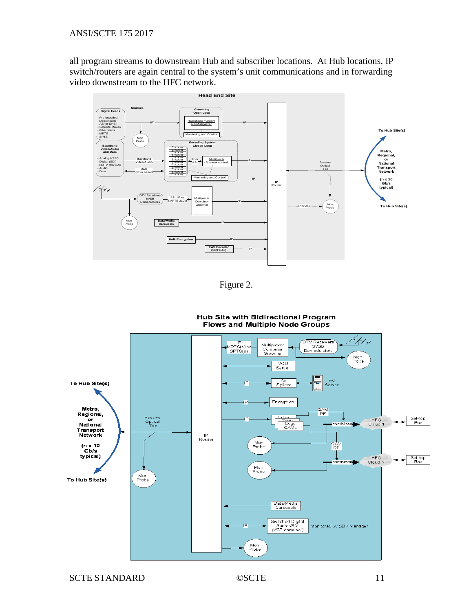all program streams to downstream Hub and subscriber locations. At Hub locations, IP switch/routers are again central to the system's unit communications and in forwarding video downstream to the HFC network.



Figure 2.



**Hub Site with Bidirectional Program Flows and Multiple Node Groups**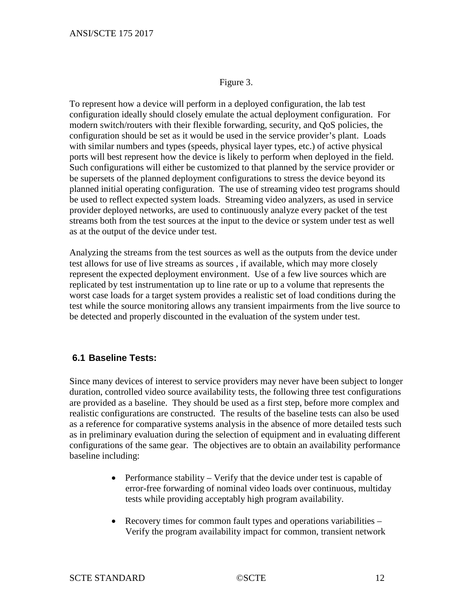Figure 3.

To represent how a device will perform in a deployed configuration, the lab test configuration ideally should closely emulate the actual deployment configuration. For modern switch/routers with their flexible forwarding, security, and QoS policies, the configuration should be set as it would be used in the service provider's plant. Loads with similar numbers and types (speeds, physical layer types, etc.) of active physical ports will best represent how the device is likely to perform when deployed in the field. Such configurations will either be customized to that planned by the service provider or be supersets of the planned deployment configurations to stress the device beyond its planned initial operating configuration. The use of streaming video test programs should be used to reflect expected system loads. Streaming video analyzers, as used in service provider deployed networks, are used to continuously analyze every packet of the test streams both from the test sources at the input to the device or system under test as well as at the output of the device under test.

Analyzing the streams from the test sources as well as the outputs from the device under test allows for use of live streams as sources , if available, which may more closely represent the expected deployment environment. Use of a few live sources which are replicated by test instrumentation up to line rate or up to a volume that represents the worst case loads for a target system provides a realistic set of load conditions during the test while the source monitoring allows any transient impairments from the live source to be detected and properly discounted in the evaluation of the system under test.

#### <span id="page-11-0"></span>**6.1 Baseline Tests:**

Since many devices of interest to service providers may never have been subject to longer duration, controlled video source availability tests, the following three test configurations are provided as a baseline. They should be used as a first step, before more complex and realistic configurations are constructed. The results of the baseline tests can also be used as a reference for comparative systems analysis in the absence of more detailed tests such as in preliminary evaluation during the selection of equipment and in evaluating different configurations of the same gear. The objectives are to obtain an availability performance baseline including:

- Performance stability Verify that the device under test is capable of error-free forwarding of nominal video loads over continuous, multiday tests while providing acceptably high program availability.
- Recovery times for common fault types and operations variabilities Verify the program availability impact for common, transient network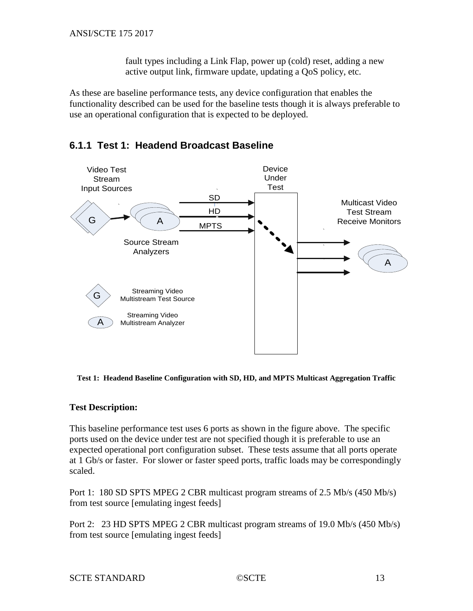fault types including a Link Flap, power up (cold) reset, adding a new active output link, firmware update, updating a QoS policy, etc.

As these are baseline performance tests, any device configuration that enables the functionality described can be used for the baseline tests though it is always preferable to use an operational configuration that is expected to be deployed.

### <span id="page-12-0"></span>**6.1.1 Test 1: Headend Broadcast Baseline**



**Test 1: Headend Baseline Configuration with SD, HD, and MPTS Multicast Aggregation Traffic**

#### **Test Description:**

This baseline performance test uses 6 ports as shown in the figure above. The specific ports used on the device under test are not specified though it is preferable to use an expected operational port configuration subset. These tests assume that all ports operate at 1 Gb/s or faster. For slower or faster speed ports, traffic loads may be correspondingly scaled.

Port 1: 180 SD SPTS MPEG 2 CBR multicast program streams of 2.5 Mb/s (450 Mb/s) from test source [emulating ingest feeds]

Port 2: 23 HD SPTS MPEG 2 CBR multicast program streams of 19.0 Mb/s (450 Mb/s) from test source [emulating ingest feeds]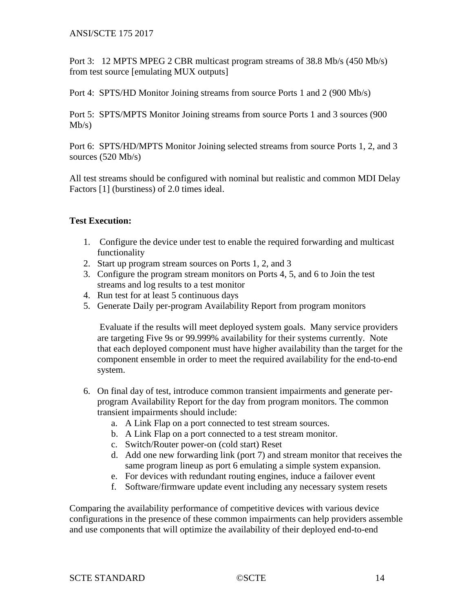Port 3: 12 MPTS MPEG 2 CBR multicast program streams of 38.8 Mb/s (450 Mb/s) from test source [emulating MUX outputs]

Port 4: SPTS/HD Monitor Joining streams from source Ports 1 and 2 (900 Mb/s)

Port 5: SPTS/MPTS Monitor Joining streams from source Ports 1 and 3 sources (900  $Mb/s)$ 

Port 6: SPTS/HD/MPTS Monitor Joining selected streams from source Ports 1, 2, and 3 sources (520 Mb/s)

All test streams should be configured with nominal but realistic and common MDI Delay Factors [1] (burstiness) of 2.0 times ideal.

#### **Test Execution:**

- 1. Configure the device under test to enable the required forwarding and multicast functionality
- 2. Start up program stream sources on Ports 1, 2, and 3
- 3. Configure the program stream monitors on Ports 4, 5, and 6 to Join the test streams and log results to a test monitor
- 4. Run test for at least 5 continuous days
- 5. Generate Daily per-program Availability Report from program monitors

Evaluate if the results will meet deployed system goals. Many service providers are targeting Five 9s or 99.999% availability for their systems currently. Note that each deployed component must have higher availability than the target for the component ensemble in order to meet the required availability for the end-to-end system.

- 6. On final day of test, introduce common transient impairments and generate perprogram Availability Report for the day from program monitors. The common transient impairments should include:
	- a. A Link Flap on a port connected to test stream sources.
	- b. A Link Flap on a port connected to a test stream monitor.
	- c. Switch/Router power-on (cold start) Reset
	- d. Add one new forwarding link (port 7) and stream monitor that receives the same program lineup as port 6 emulating a simple system expansion.
	- e. For devices with redundant routing engines, induce a failover event
	- f. Software/firmware update event including any necessary system resets

Comparing the availability performance of competitive devices with various device configurations in the presence of these common impairments can help providers assemble and use components that will optimize the availability of their deployed end-to-end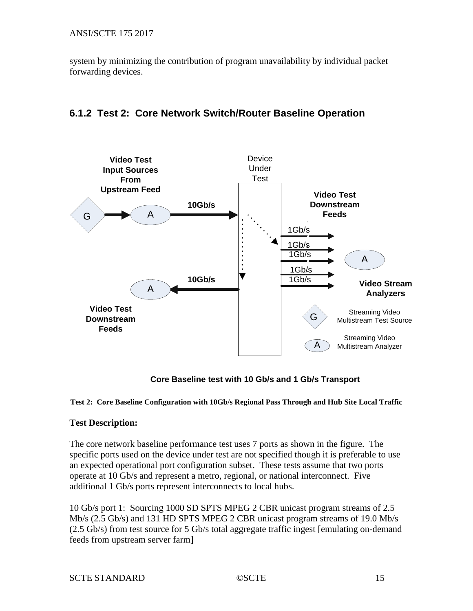ANSI/SCTE 175 2017

system by minimizing the contribution of program unavailability by individual packet forwarding devices.

## <span id="page-14-0"></span>**6.1.2 Test 2: Core Network Switch/Router Baseline Operation**



**Core Baseline test with 10 Gb/s and 1 Gb/s Transport**

#### **Test 2: Core Baseline Configuration with 10Gb/s Regional Pass Through and Hub Site Local Traffic**

#### **Test Description:**

The core network baseline performance test uses 7 ports as shown in the figure. The specific ports used on the device under test are not specified though it is preferable to use an expected operational port configuration subset. These tests assume that two ports operate at 10 Gb/s and represent a metro, regional, or national interconnect. Five additional 1 Gb/s ports represent interconnects to local hubs.

10 Gb/s port 1: Sourcing 1000 SD SPTS MPEG 2 CBR unicast program streams of 2.5 Mb/s (2.5 Gb/s) and 131 HD SPTS MPEG 2 CBR unicast program streams of 19.0 Mb/s (2.5 Gb/s) from test source for 5 Gb/s total aggregate traffic ingest [emulating on-demand feeds from upstream server farm]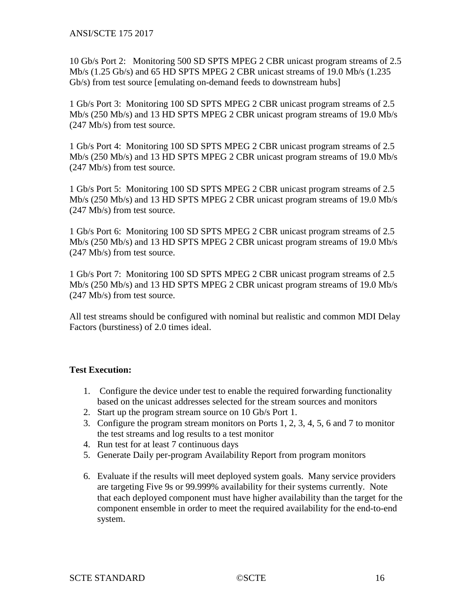10 Gb/s Port 2: Monitoring 500 SD SPTS MPEG 2 CBR unicast program streams of 2.5 Mb/s (1.25 Gb/s) and 65 HD SPTS MPEG 2 CBR unicast streams of 19.0 Mb/s (1.235 Gb/s) from test source [emulating on-demand feeds to downstream hubs]

1 Gb/s Port 3: Monitoring 100 SD SPTS MPEG 2 CBR unicast program streams of 2.5 Mb/s (250 Mb/s) and 13 HD SPTS MPEG 2 CBR unicast program streams of 19.0 Mb/s (247 Mb/s) from test source.

1 Gb/s Port 4: Monitoring 100 SD SPTS MPEG 2 CBR unicast program streams of 2.5 Mb/s (250 Mb/s) and 13 HD SPTS MPEG 2 CBR unicast program streams of 19.0 Mb/s (247 Mb/s) from test source.

1 Gb/s Port 5: Monitoring 100 SD SPTS MPEG 2 CBR unicast program streams of 2.5 Mb/s (250 Mb/s) and 13 HD SPTS MPEG 2 CBR unicast program streams of 19.0 Mb/s (247 Mb/s) from test source.

1 Gb/s Port 6: Monitoring 100 SD SPTS MPEG 2 CBR unicast program streams of 2.5 Mb/s (250 Mb/s) and 13 HD SPTS MPEG 2 CBR unicast program streams of 19.0 Mb/s (247 Mb/s) from test source.

1 Gb/s Port 7: Monitoring 100 SD SPTS MPEG 2 CBR unicast program streams of 2.5 Mb/s (250 Mb/s) and 13 HD SPTS MPEG 2 CBR unicast program streams of 19.0 Mb/s (247 Mb/s) from test source.

All test streams should be configured with nominal but realistic and common MDI Delay Factors (burstiness) of 2.0 times ideal.

#### **Test Execution:**

- 1. Configure the device under test to enable the required forwarding functionality based on the unicast addresses selected for the stream sources and monitors
- 2. Start up the program stream source on 10 Gb/s Port 1.
- 3. Configure the program stream monitors on Ports 1, 2, 3, 4, 5, 6 and 7 to monitor the test streams and log results to a test monitor
- 4. Run test for at least 7 continuous days
- 5. Generate Daily per-program Availability Report from program monitors
- 6. Evaluate if the results will meet deployed system goals. Many service providers are targeting Five 9s or 99.999% availability for their systems currently. Note that each deployed component must have higher availability than the target for the component ensemble in order to meet the required availability for the end-to-end system.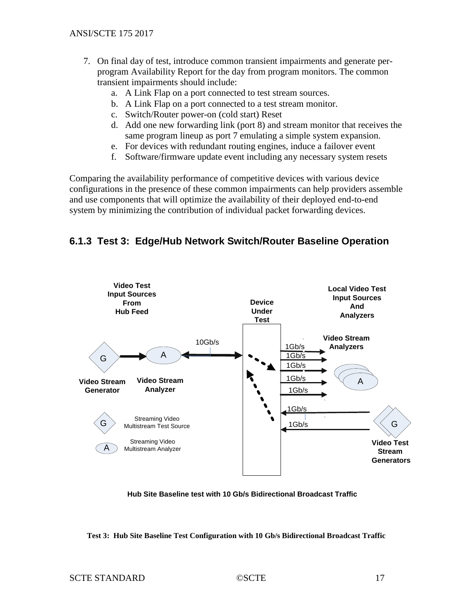- 7. On final day of test, introduce common transient impairments and generate perprogram Availability Report for the day from program monitors. The common transient impairments should include:
	- a. A Link Flap on a port connected to test stream sources.
	- b. A Link Flap on a port connected to a test stream monitor.
	- c. Switch/Router power-on (cold start) Reset
	- d. Add one new forwarding link (port 8) and stream monitor that receives the same program lineup as port 7 emulating a simple system expansion.
	- e. For devices with redundant routing engines, induce a failover event
	- f. Software/firmware update event including any necessary system resets

Comparing the availability performance of competitive devices with various device configurations in the presence of these common impairments can help providers assemble and use components that will optimize the availability of their deployed end-to-end system by minimizing the contribution of individual packet forwarding devices.

### <span id="page-16-0"></span>**6.1.3 Test 3: Edge/Hub Network Switch/Router Baseline Operation**



**Hub Site Baseline test with 10 Gb/s Bidirectional Broadcast Traffic**

**Test 3: Hub Site Baseline Test Configuration with 10 Gb/s Bidirectional Broadcast Traffic**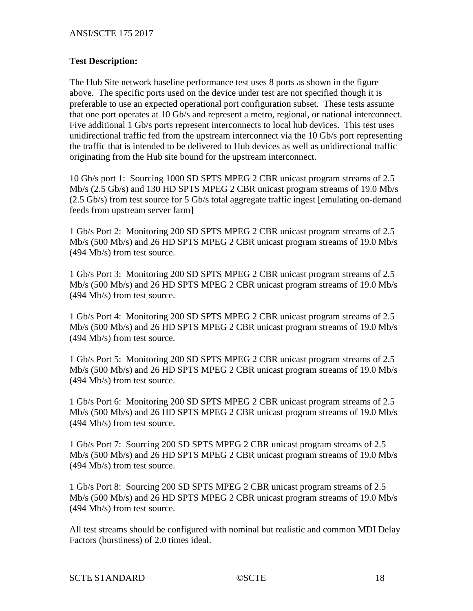#### **Test Description:**

The Hub Site network baseline performance test uses 8 ports as shown in the figure above. The specific ports used on the device under test are not specified though it is preferable to use an expected operational port configuration subset. These tests assume that one port operates at 10 Gb/s and represent a metro, regional, or national interconnect. Five additional 1 Gb/s ports represent interconnects to local hub devices. This test uses unidirectional traffic fed from the upstream interconnect via the 10 Gb/s port representing the traffic that is intended to be delivered to Hub devices as well as unidirectional traffic originating from the Hub site bound for the upstream interconnect.

10 Gb/s port 1: Sourcing 1000 SD SPTS MPEG 2 CBR unicast program streams of 2.5 Mb/s (2.5 Gb/s) and 130 HD SPTS MPEG 2 CBR unicast program streams of 19.0 Mb/s (2.5 Gb/s) from test source for 5 Gb/s total aggregate traffic ingest [emulating on-demand feeds from upstream server farm]

1 Gb/s Port 2: Monitoring 200 SD SPTS MPEG 2 CBR unicast program streams of 2.5 Mb/s (500 Mb/s) and 26 HD SPTS MPEG 2 CBR unicast program streams of 19.0 Mb/s (494 Mb/s) from test source.

1 Gb/s Port 3: Monitoring 200 SD SPTS MPEG 2 CBR unicast program streams of 2.5 Mb/s (500 Mb/s) and 26 HD SPTS MPEG 2 CBR unicast program streams of 19.0 Mb/s (494 Mb/s) from test source.

1 Gb/s Port 4: Monitoring 200 SD SPTS MPEG 2 CBR unicast program streams of 2.5 Mb/s (500 Mb/s) and 26 HD SPTS MPEG 2 CBR unicast program streams of 19.0 Mb/s (494 Mb/s) from test source.

1 Gb/s Port 5: Monitoring 200 SD SPTS MPEG 2 CBR unicast program streams of 2.5 Mb/s (500 Mb/s) and 26 HD SPTS MPEG 2 CBR unicast program streams of 19.0 Mb/s (494 Mb/s) from test source.

1 Gb/s Port 6: Monitoring 200 SD SPTS MPEG 2 CBR unicast program streams of 2.5 Mb/s (500 Mb/s) and 26 HD SPTS MPEG 2 CBR unicast program streams of 19.0 Mb/s (494 Mb/s) from test source.

1 Gb/s Port 7: Sourcing 200 SD SPTS MPEG 2 CBR unicast program streams of 2.5 Mb/s (500 Mb/s) and 26 HD SPTS MPEG 2 CBR unicast program streams of 19.0 Mb/s (494 Mb/s) from test source.

1 Gb/s Port 8: Sourcing 200 SD SPTS MPEG 2 CBR unicast program streams of 2.5 Mb/s (500 Mb/s) and 26 HD SPTS MPEG 2 CBR unicast program streams of 19.0 Mb/s (494 Mb/s) from test source.

All test streams should be configured with nominal but realistic and common MDI Delay Factors (burstiness) of 2.0 times ideal.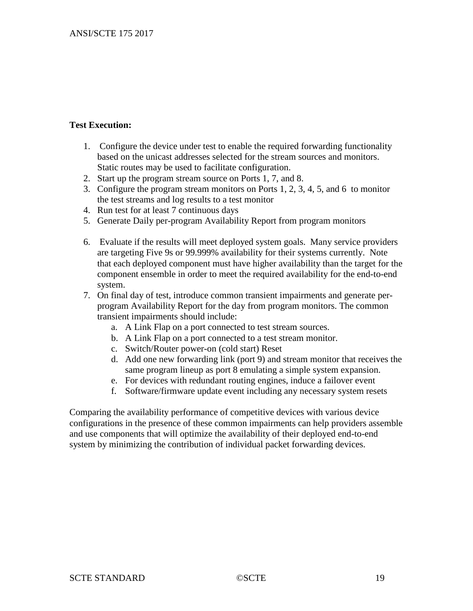#### **Test Execution:**

- 1. Configure the device under test to enable the required forwarding functionality based on the unicast addresses selected for the stream sources and monitors. Static routes may be used to facilitate configuration.
- 2. Start up the program stream source on Ports 1, 7, and 8.
- 3. Configure the program stream monitors on Ports 1, 2, 3, 4, 5, and 6 to monitor the test streams and log results to a test monitor
- 4. Run test for at least 7 continuous days
- 5. Generate Daily per-program Availability Report from program monitors
- 6. Evaluate if the results will meet deployed system goals. Many service providers are targeting Five 9s or 99.999% availability for their systems currently. Note that each deployed component must have higher availability than the target for the component ensemble in order to meet the required availability for the end-to-end system.
- 7. On final day of test, introduce common transient impairments and generate perprogram Availability Report for the day from program monitors. The common transient impairments should include:
	- a. A Link Flap on a port connected to test stream sources.
	- b. A Link Flap on a port connected to a test stream monitor.
	- c. Switch/Router power-on (cold start) Reset
	- d. Add one new forwarding link (port 9) and stream monitor that receives the same program lineup as port 8 emulating a simple system expansion.
	- e. For devices with redundant routing engines, induce a failover event
	- f. Software/firmware update event including any necessary system resets

Comparing the availability performance of competitive devices with various device configurations in the presence of these common impairments can help providers assemble and use components that will optimize the availability of their deployed end-to-end system by minimizing the contribution of individual packet forwarding devices.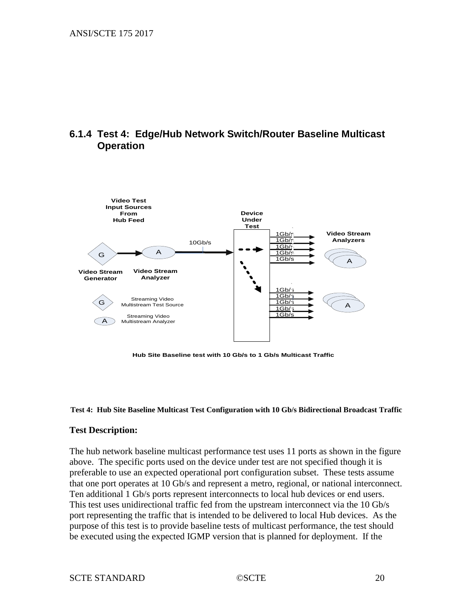### <span id="page-19-0"></span>**6.1.4 Test 4: Edge/Hub Network Switch/Router Baseline Multicast Operation**



**Hub Site Baseline test with 10 Gb/s to 1 Gb/s Multicast Traffic**

#### **Test 4: Hub Site Baseline Multicast Test Configuration with 10 Gb/s Bidirectional Broadcast Traffic**

#### **Test Description:**

The hub network baseline multicast performance test uses 11 ports as shown in the figure above. The specific ports used on the device under test are not specified though it is preferable to use an expected operational port configuration subset. These tests assume that one port operates at 10 Gb/s and represent a metro, regional, or national interconnect. Ten additional 1 Gb/s ports represent interconnects to local hub devices or end users. This test uses unidirectional traffic fed from the upstream interconnect via the 10 Gb/s port representing the traffic that is intended to be delivered to local Hub devices. As the purpose of this test is to provide baseline tests of multicast performance, the test should be executed using the expected IGMP version that is planned for deployment. If the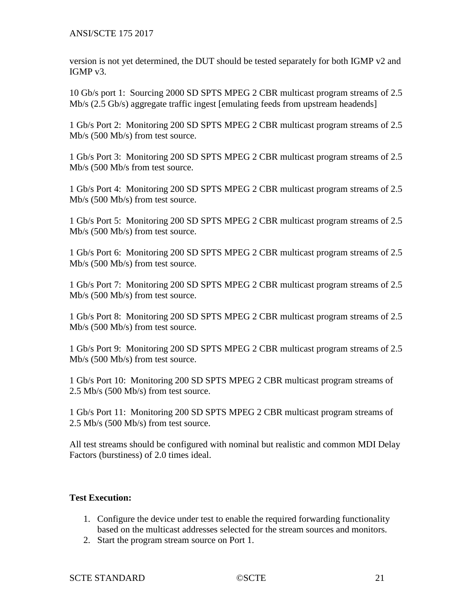ANSI/SCTE 175 2017

version is not yet determined, the DUT should be tested separately for both IGMP v2 and IGMP v3.

10 Gb/s port 1: Sourcing 2000 SD SPTS MPEG 2 CBR multicast program streams of 2.5 Mb/s (2.5 Gb/s) aggregate traffic ingest [emulating feeds from upstream headends]

1 Gb/s Port 2: Monitoring 200 SD SPTS MPEG 2 CBR multicast program streams of 2.5 Mb/s (500 Mb/s) from test source.

1 Gb/s Port 3: Monitoring 200 SD SPTS MPEG 2 CBR multicast program streams of 2.5 Mb/s (500 Mb/s from test source.

1 Gb/s Port 4: Monitoring 200 SD SPTS MPEG 2 CBR multicast program streams of 2.5 Mb/s (500 Mb/s) from test source.

1 Gb/s Port 5: Monitoring 200 SD SPTS MPEG 2 CBR multicast program streams of 2.5 Mb/s (500 Mb/s) from test source.

1 Gb/s Port 6: Monitoring 200 SD SPTS MPEG 2 CBR multicast program streams of 2.5 Mb/s (500 Mb/s) from test source.

1 Gb/s Port 7: Monitoring 200 SD SPTS MPEG 2 CBR multicast program streams of 2.5 Mb/s (500 Mb/s) from test source.

1 Gb/s Port 8: Monitoring 200 SD SPTS MPEG 2 CBR multicast program streams of 2.5 Mb/s (500 Mb/s) from test source.

1 Gb/s Port 9: Monitoring 200 SD SPTS MPEG 2 CBR multicast program streams of 2.5 Mb/s (500 Mb/s) from test source.

1 Gb/s Port 10: Monitoring 200 SD SPTS MPEG 2 CBR multicast program streams of 2.5 Mb/s (500 Mb/s) from test source.

1 Gb/s Port 11: Monitoring 200 SD SPTS MPEG 2 CBR multicast program streams of 2.5 Mb/s (500 Mb/s) from test source.

All test streams should be configured with nominal but realistic and common MDI Delay Factors (burstiness) of 2.0 times ideal.

#### **Test Execution:**

- 1. Configure the device under test to enable the required forwarding functionality based on the multicast addresses selected for the stream sources and monitors.
- 2. Start the program stream source on Port 1.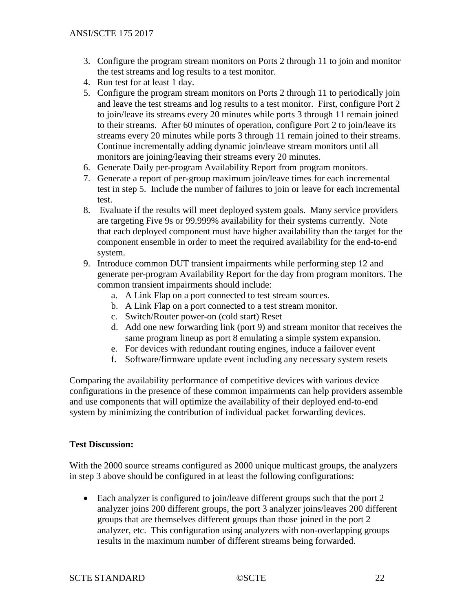- 3. Configure the program stream monitors on Ports 2 through 11 to join and monitor the test streams and log results to a test monitor.
- 4. Run test for at least 1 day.
- 5. Configure the program stream monitors on Ports 2 through 11 to periodically join and leave the test streams and log results to a test monitor. First, configure Port 2 to join/leave its streams every 20 minutes while ports 3 through 11 remain joined to their streams. After 60 minutes of operation, configure Port 2 to join/leave its streams every 20 minutes while ports 3 through 11 remain joined to their streams. Continue incrementally adding dynamic join/leave stream monitors until all monitors are joining/leaving their streams every 20 minutes.
- 6. Generate Daily per-program Availability Report from program monitors.
- 7. Generate a report of per-group maximum join/leave times for each incremental test in step 5. Include the number of failures to join or leave for each incremental test.
- 8. Evaluate if the results will meet deployed system goals. Many service providers are targeting Five 9s or 99.999% availability for their systems currently. Note that each deployed component must have higher availability than the target for the component ensemble in order to meet the required availability for the end-to-end system.
- 9. Introduce common DUT transient impairments while performing step 12 and generate per-program Availability Report for the day from program monitors. The common transient impairments should include:
	- a. A Link Flap on a port connected to test stream sources.
	- b. A Link Flap on a port connected to a test stream monitor.
	- c. Switch/Router power-on (cold start) Reset
	- d. Add one new forwarding link (port 9) and stream monitor that receives the same program lineup as port 8 emulating a simple system expansion.
	- e. For devices with redundant routing engines, induce a failover event
	- f. Software/firmware update event including any necessary system resets

Comparing the availability performance of competitive devices with various device configurations in the presence of these common impairments can help providers assemble and use components that will optimize the availability of their deployed end-to-end system by minimizing the contribution of individual packet forwarding devices.

#### **Test Discussion:**

With the 2000 source streams configured as 2000 unique multicast groups, the analyzers in step 3 above should be configured in at least the following configurations:

• Each analyzer is configured to join/leave different groups such that the port 2 analyzer joins 200 different groups, the port 3 analyzer joins/leaves 200 different groups that are themselves different groups than those joined in the port 2 analyzer, etc. This configuration using analyzers with non-overlapping groups results in the maximum number of different streams being forwarded.